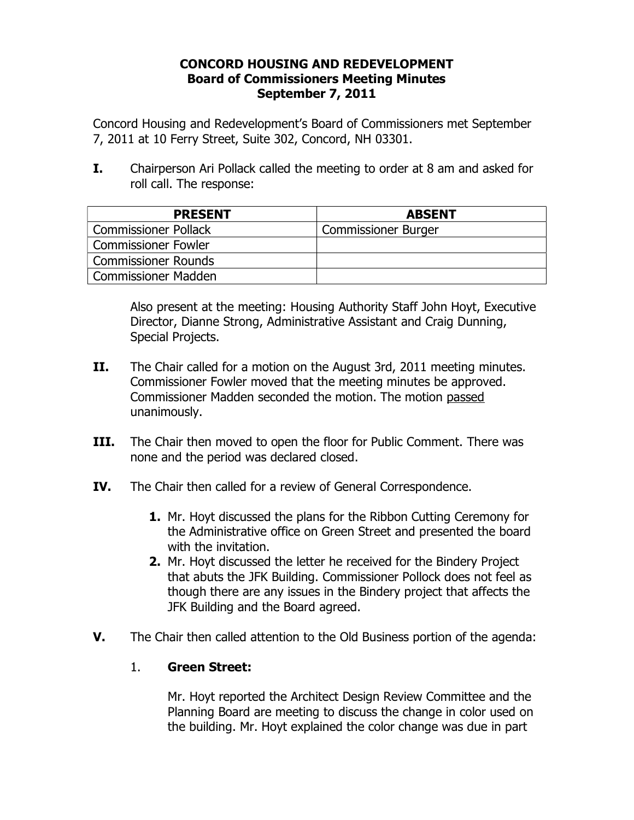### **CONCORD HOUSING AND REDEVELOPMENT Board of Commissioners Meeting Minutes September 7, 2011**

Concord Housing and Redevelopment's Board of Commissioners met September 7, 2011 at 10 Ferry Street, Suite 302, Concord, NH 03301.

**I.** Chairperson Ari Pollack called the meeting to order at 8 am and asked for roll call. The response:

| <b>PRESENT</b>              | <b>ABSENT</b>              |
|-----------------------------|----------------------------|
| <b>Commissioner Pollack</b> | <b>Commissioner Burger</b> |
| <b>Commissioner Fowler</b>  |                            |
| <b>Commissioner Rounds</b>  |                            |
| <b>Commissioner Madden</b>  |                            |

Also present at the meeting: Housing Authority Staff John Hoyt, Executive Director, Dianne Strong, Administrative Assistant and Craig Dunning, Special Projects.

- **II.** The Chair called for a motion on the August 3rd, 2011 meeting minutes. Commissioner Fowler moved that the meeting minutes be approved. Commissioner Madden seconded the motion. The motion passed unanimously.
- **III.** The Chair then moved to open the floor for Public Comment. There was none and the period was declared closed.
- **IV.** The Chair then called for a review of General Correspondence.
	- **1.** Mr. Hoyt discussed the plans for the Ribbon Cutting Ceremony for the Administrative office on Green Street and presented the board with the invitation.
	- **2.** Mr. Hoyt discussed the letter he received for the Bindery Project that abuts the JFK Building. Commissioner Pollock does not feel as though there are any issues in the Bindery project that affects the JFK Building and the Board agreed.
- **V.** The Chair then called attention to the Old Business portion of the agenda:

# 1. **Green Street:**

Mr. Hoyt reported the Architect Design Review Committee and the Planning Board are meeting to discuss the change in color used on the building. Mr. Hoyt explained the color change was due in part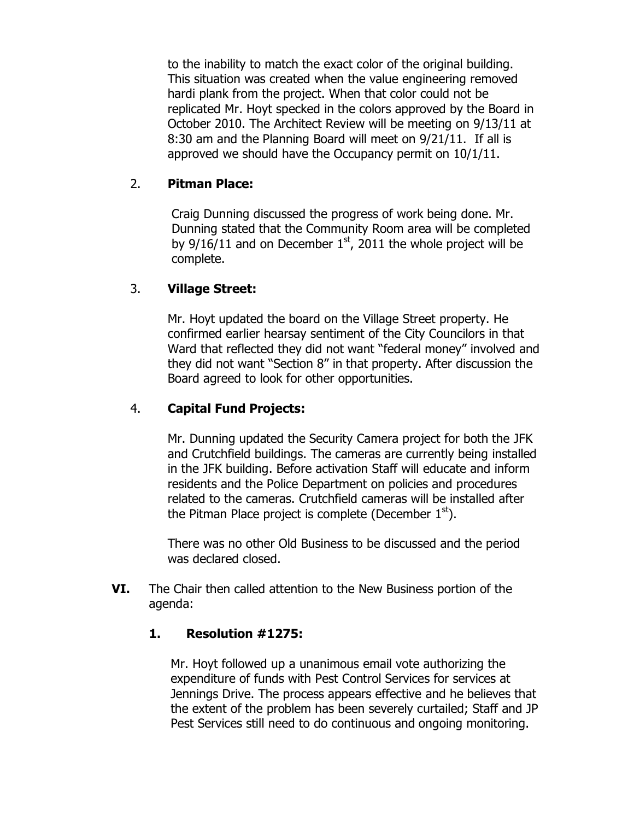to the inability to match the exact color of the original building. This situation was created when the value engineering removed hardi plank from the project. When that color could not be replicated Mr. Hoyt specked in the colors approved by the Board in October 2010. The Architect Review will be meeting on 9/13/11 at 8:30 am and the Planning Board will meet on 9/21/11. If all is approved we should have the Occupancy permit on 10/1/11.

### 2. **Pitman Place:**

Craig Dunning discussed the progress of work being done. Mr. Dunning stated that the Community Room area will be completed by  $9/16/11$  and on December  $1<sup>st</sup>$ , 2011 the whole project will be complete.

### 3. **Village Street:**

Mr. Hoyt updated the board on the Village Street property. He confirmed earlier hearsay sentiment of the City Councilors in that Ward that reflected they did not want "federal money" involved and they did not want "Section 8" in that property. After discussion the Board agreed to look for other opportunities.

#### 4. **Capital Fund Projects:**

Mr. Dunning updated the Security Camera project for both the JFK and Crutchfield buildings. The cameras are currently being installed in the JFK building. Before activation Staff will educate and inform residents and the Police Department on policies and procedures related to the cameras. Crutchfield cameras will be installed after the Pitman Place project is complete (December  $1<sup>st</sup>$ ).

There was no other Old Business to be discussed and the period was declared closed.

**VI.** The Chair then called attention to the New Business portion of the agenda:

#### **1. Resolution #1275:**

Mr. Hoyt followed up a unanimous email vote authorizing the expenditure of funds with Pest Control Services for services at Jennings Drive. The process appears effective and he believes that the extent of the problem has been severely curtailed; Staff and JP Pest Services still need to do continuous and ongoing monitoring.